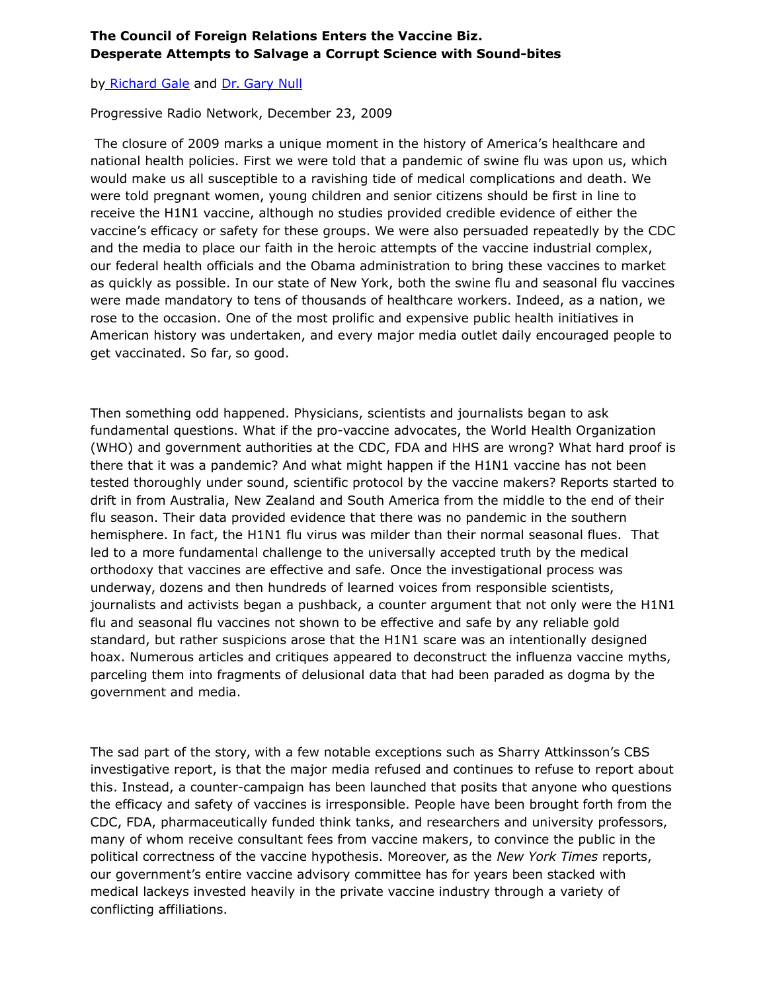## **The Council of Foreign Relations Enters the Vaccine Biz. Desperate Attempts to Salvage a Corrupt Science with Sound-bites**

## by [Richard Gale](http://www.whale.to/vaccine/gale_h.html) and [Dr. Gary Null](http://www.whale.to/c/null.html)

Progressive Radio Network, December 23, 2009

The closure of 2009 marks a unique moment in the history of America's healthcare and national health policies. First we were told that a pandemic of swine flu was upon us, which would make us all susceptible to a ravishing tide of medical complications and death. We were told pregnant women, young children and senior citizens should be first in line to receive the H1N1 vaccine, although no studies provided credible evidence of either the vaccine's efficacy or safety for these groups. We were also persuaded repeatedly by the CDC and the media to place our faith in the heroic attempts of the vaccine industrial complex, our federal health officials and the Obama administration to bring these vaccines to market as quickly as possible. In our state of New York, both the swine flu and seasonal flu vaccines were made mandatory to tens of thousands of healthcare workers. Indeed, as a nation, we rose to the occasion. One of the most prolific and expensive public health initiatives in American history was undertaken, and every major media outlet daily encouraged people to get vaccinated. So far, so good.

Then something odd happened. Physicians, scientists and journalists began to ask fundamental questions. What if the pro-vaccine advocates, the World Health Organization (WHO) and government authorities at the CDC, FDA and HHS are wrong? What hard proof is there that it was a pandemic? And what might happen if the H1N1 vaccine has not been tested thoroughly under sound, scientific protocol by the vaccine makers? Reports started to drift in from Australia, New Zealand and South America from the middle to the end of their flu season. Their data provided evidence that there was no pandemic in the southern hemisphere. In fact, the H1N1 flu virus was milder than their normal seasonal flues. That led to a more fundamental challenge to the universally accepted truth by the medical orthodoxy that vaccines are effective and safe. Once the investigational process was underway, dozens and then hundreds of learned voices from responsible scientists, journalists and activists began a pushback, a counter argument that not only were the H1N1 flu and seasonal flu vaccines not shown to be effective and safe by any reliable gold standard, but rather suspicions arose that the H1N1 scare was an intentionally designed hoax. Numerous articles and critiques appeared to deconstruct the influenza vaccine myths, parceling them into fragments of delusional data that had been paraded as dogma by the government and media.

The sad part of the story, with a few notable exceptions such as Sharry Attkinsson's CBS investigative report, is that the major media refused and continues to refuse to report about this. Instead, a counter-campaign has been launched that posits that anyone who questions the efficacy and safety of vaccines is irresponsible. People have been brought forth from the CDC, FDA, pharmaceutically funded think tanks, and researchers and university professors, many of whom receive consultant fees from vaccine makers, to convince the public in the political correctness of the vaccine hypothesis. Moreover, as the *New York Times* reports, our government's entire vaccine advisory committee has for years been stacked with medical lackeys invested heavily in the private vaccine industry through a variety of conflicting affiliations.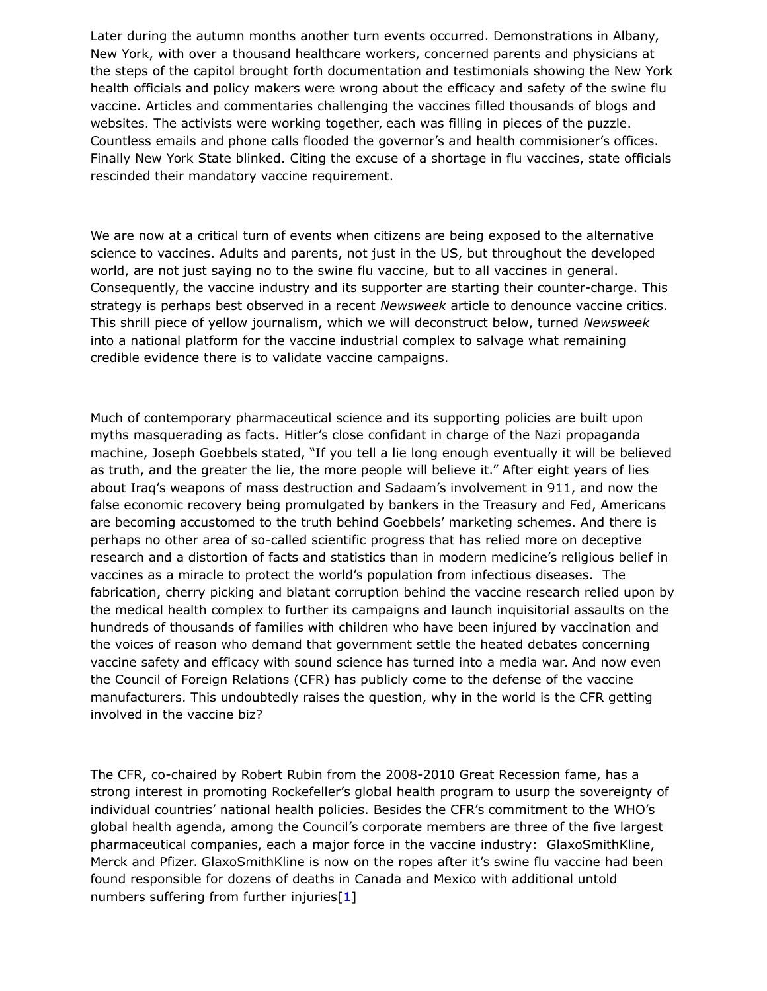Later during the autumn months another turn events occurred. Demonstrations in Albany, New York, with over a thousand healthcare workers, concerned parents and physicians at the steps of the capitol brought forth documentation and testimonials showing the New York health officials and policy makers were wrong about the efficacy and safety of the swine flu vaccine. Articles and commentaries challenging the vaccines filled thousands of blogs and websites. The activists were working together, each was filling in pieces of the puzzle. Countless emails and phone calls flooded the governor's and health commisioner's offices. Finally New York State blinked. Citing the excuse of a shortage in flu vaccines, state officials rescinded their mandatory vaccine requirement.

We are now at a critical turn of events when citizens are being exposed to the alternative science to vaccines. Adults and parents, not just in the US, but throughout the developed world, are not just saying no to the swine flu vaccine, but to all vaccines in general. Consequently, the vaccine industry and its supporter are starting their counter-charge. This strategy is perhaps best observed in a recent *Newsweek* article to denounce vaccine critics. This shrill piece of yellow journalism, which we will deconstruct below, turned *Newsweek* into a national platform for the vaccine industrial complex to salvage what remaining credible evidence there is to validate vaccine campaigns.

Much of contemporary pharmaceutical science and its supporting policies are built upon myths masquerading as facts. Hitler's close confidant in charge of the Nazi propaganda machine, Joseph Goebbels stated, "If you tell a lie long enough eventually it will be believed as truth, and the greater the lie, the more people will believe it." After eight years of lies about Iraq's weapons of mass destruction and Sadaam's involvement in 911, and now the false economic recovery being promulgated by bankers in the Treasury and Fed, Americans are becoming accustomed to the truth behind Goebbels' marketing schemes. And there is perhaps no other area of so-called scientific progress that has relied more on deceptive research and a distortion of facts and statistics than in modern medicine's religious belief in vaccines as a miracle to protect the world's population from infectious diseases. The fabrication, cherry picking and blatant corruption behind the vaccine research relied upon by the medical health complex to further its campaigns and launch inquisitorial assaults on the hundreds of thousands of families with children who have been injured by vaccination and the voices of reason who demand that government settle the heated debates concerning vaccine safety and efficacy with sound science has turned into a media war. And now even the Council of Foreign Relations (CFR) has publicly come to the defense of the vaccine manufacturers. This undoubtedly raises the question, why in the world is the CFR getting involved in the vaccine biz?

The CFR, co-chaired by Robert Rubin from the 2008-2010 Great Recession fame, has a strong interest in promoting Rockefeller's global health program to usurp the sovereignty of individual countries' national health policies. Besides the CFR's commitment to the WHO's global health agenda, among the Council's corporate members are three of the five largest pharmaceutical companies, each a major force in the vaccine industry: GlaxoSmithKline, Merck and Pfizer. GlaxoSmithKline is now on the ropes after it's swine flu vaccine had been found responsible for dozens of deaths in Canada and Mexico with additional untold numbers suffering from further injuries $[1]$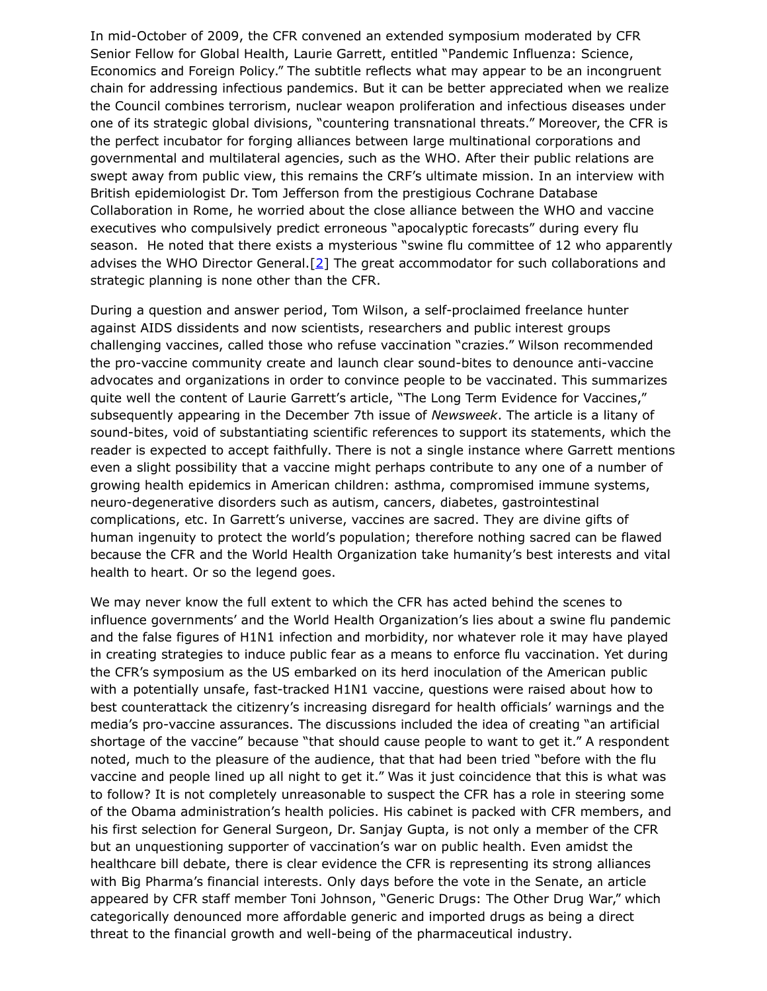In mid-October of 2009, the CFR convened an extended symposium moderated by CFR Senior Fellow for Global Health, Laurie Garrett, entitled "Pandemic Influenza: Science, Economics and Foreign Policy." The subtitle reflects what may appear to be an incongruent chain for addressing infectious pandemics. But it can be better appreciated when we realize the Council combines terrorism, nuclear weapon proliferation and infectious diseases under one of its strategic global divisions, "countering transnational threats." Moreover, the CFR is the perfect incubator for forging alliances between large multinational corporations and governmental and multilateral agencies, such as the WHO. After their public relations are swept away from public view, this remains the CRF's ultimate mission. In an interview with British epidemiologist Dr. Tom Jefferson from the prestigious Cochrane Database Collaboration in Rome, he worried about the close alliance between the WHO and vaccine executives who compulsively predict erroneous "apocalyptic forecasts" during every flu season. He noted that there exists a mysterious "swine flu committee of 12 who apparently advises the WHO Director General.[\[2\]](http://www.whale.to/vaccine/null19.html#2) The great accommodator for such collaborations and strategic planning is none other than the CFR.

During a question and answer period, Tom Wilson, a self-proclaimed freelance hunter against AIDS dissidents and now scientists, researchers and public interest groups challenging vaccines, called those who refuse vaccination "crazies." Wilson recommended the pro-vaccine community create and launch clear sound-bites to denounce anti-vaccine advocates and organizations in order to convince people to be vaccinated. This summarizes quite well the content of Laurie Garrett's article, "The Long Term Evidence for Vaccines," subsequently appearing in the December 7th issue of *Newsweek*. The article is a litany of sound-bites, void of substantiating scientific references to support its statements, which the reader is expected to accept faithfully. There is not a single instance where Garrett mentions even a slight possibility that a vaccine might perhaps contribute to any one of a number of growing health epidemics in American children: asthma, compromised immune systems, neuro-degenerative disorders such as autism, cancers, diabetes, gastrointestinal complications, etc. In Garrett's universe, vaccines are sacred. They are divine gifts of human ingenuity to protect the world's population; therefore nothing sacred can be flawed because the CFR and the World Health Organization take humanity's best interests and vital health to heart. Or so the legend goes.

We may never know the full extent to which the CFR has acted behind the scenes to influence governments' and the World Health Organization's lies about a swine flu pandemic and the false figures of H1N1 infection and morbidity, nor whatever role it may have played in creating strategies to induce public fear as a means to enforce flu vaccination. Yet during the CFR's symposium as the US embarked on its herd inoculation of the American public with a potentially unsafe, fast-tracked H1N1 vaccine, questions were raised about how to best counterattack the citizenry's increasing disregard for health officials' warnings and the media's pro-vaccine assurances. The discussions included the idea of creating "an artificial shortage of the vaccine" because "that should cause people to want to get it." A respondent noted, much to the pleasure of the audience, that that had been tried "before with the flu vaccine and people lined up all night to get it." Was it just coincidence that this is what was to follow? It is not completely unreasonable to suspect the CFR has a role in steering some of the Obama administration's health policies. His cabinet is packed with CFR members, and his first selection for General Surgeon, Dr. Sanjay Gupta, is not only a member of the CFR but an unquestioning supporter of vaccination's war on public health. Even amidst the healthcare bill debate, there is clear evidence the CFR is representing its strong alliances with Big Pharma's financial interests. Only days before the vote in the Senate, an article appeared by CFR staff member Toni Johnson, "Generic Drugs: The Other Drug War," which categorically denounced more affordable generic and imported drugs as being a direct threat to the financial growth and well-being of the pharmaceutical industry.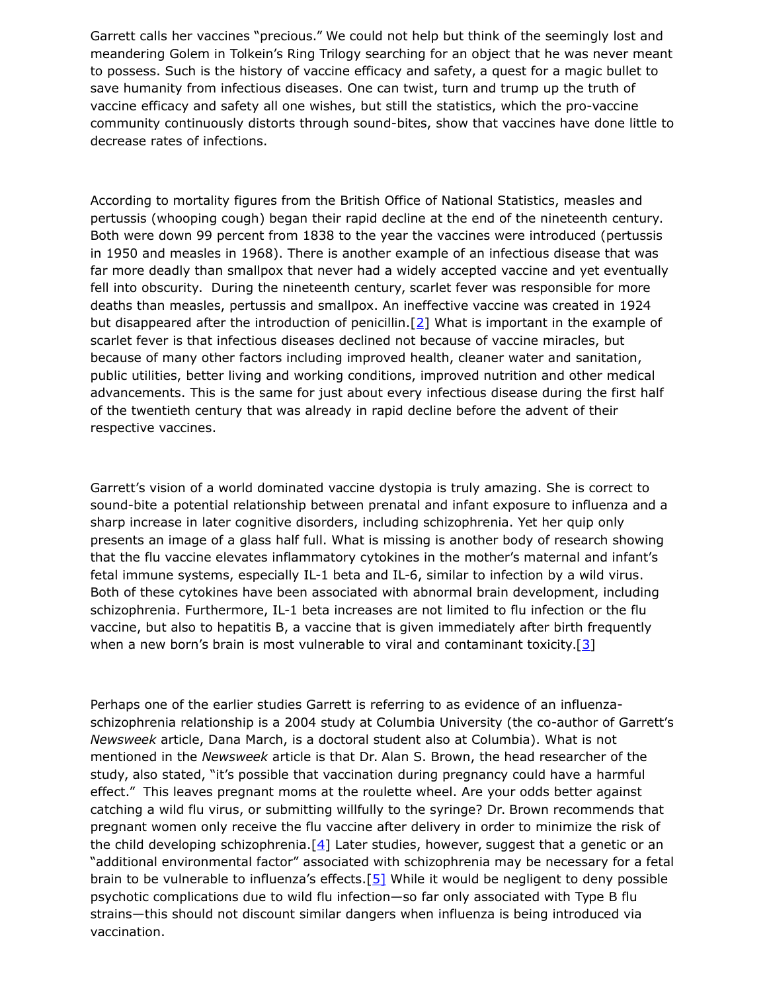Garrett calls her vaccines "precious." We could not help but think of the seemingly lost and meandering Golem in Tolkein's Ring Trilogy searching for an object that he was never meant to possess. Such is the history of vaccine efficacy and safety, a quest for a magic bullet to save humanity from infectious diseases. One can twist, turn and trump up the truth of vaccine efficacy and safety all one wishes, but still the statistics, which the pro-vaccine community continuously distorts through sound-bites, show that vaccines have done little to decrease rates of infections.

According to mortality figures from the British Office of National Statistics, measles and pertussis (whooping cough) began their rapid decline at the end of the nineteenth century. Both were down 99 percent from 1838 to the year the vaccines were introduced (pertussis in 1950 and measles in 1968). There is another example of an infectious disease that was far more deadly than smallpox that never had a widely accepted vaccine and yet eventually fell into obscurity. During the nineteenth century, scarlet fever was responsible for more deaths than measles, pertussis and smallpox. An ineffective vaccine was created in 1924 but disappeared after the introduction of penicillin. [\[2\]](http://www.whale.to/vaccine/null19.html#2) What is important in the example of scarlet fever is that infectious diseases declined not because of vaccine miracles, but because of many other factors including improved health, cleaner water and sanitation, public utilities, better living and working conditions, improved nutrition and other medical advancements. This is the same for just about every infectious disease during the first half of the twentieth century that was already in rapid decline before the advent of their respective vaccines.

Garrett's vision of a world dominated vaccine dystopia is truly amazing. She is correct to sound-bite a potential relationship between prenatal and infant exposure to influenza and a sharp increase in later cognitive disorders, including schizophrenia. Yet her quip only presents an image of a glass half full. What is missing is another body of research showing that the flu vaccine elevates inflammatory cytokines in the mother's maternal and infant's fetal immune systems, especially IL-1 beta and IL-6, similar to infection by a wild virus. Both of these cytokines have been associated with abnormal brain development, including schizophrenia. Furthermore, IL-1 beta increases are not limited to flu infection or the flu vaccine, but also to hepatitis B, a vaccine that is given immediately after birth frequently when a new born's brain is most vulnerable to viral and contaminant toxicity.[ $3$ ]

Perhaps one of the earlier studies Garrett is referring to as evidence of an influenzaschizophrenia relationship is a 2004 study at Columbia University (the co-author of Garrett's *Newsweek* article, Dana March, is a doctoral student also at Columbia). What is not mentioned in the *Newsweek* article is that Dr. Alan S. Brown, the head researcher of the study, also stated, "it's possible that vaccination during pregnancy could have a harmful effect." This leaves pregnant moms at the roulette wheel. Are your odds better against catching a wild flu virus, or submitting willfully to the syringe? Dr. Brown recommends that pregnant women only receive the flu vaccine after delivery in order to minimize the risk of the child developing schizophrenia.<sup>[\[4\]](http://www.whale.to/vaccine/null19.html#4)</sup> Later studies, however, suggest that a genetic or an "additional environmental factor" associated with schizophrenia may be necessary for a fetal brain to be vulnerable to influenza's effects.[\[5\]](http://www.whale.to/vaccine/null19.html#5) While it would be negligent to deny possible psychotic complications due to wild flu infection—so far only associated with Type B flu strains—this should not discount similar dangers when influenza is being introduced via vaccination.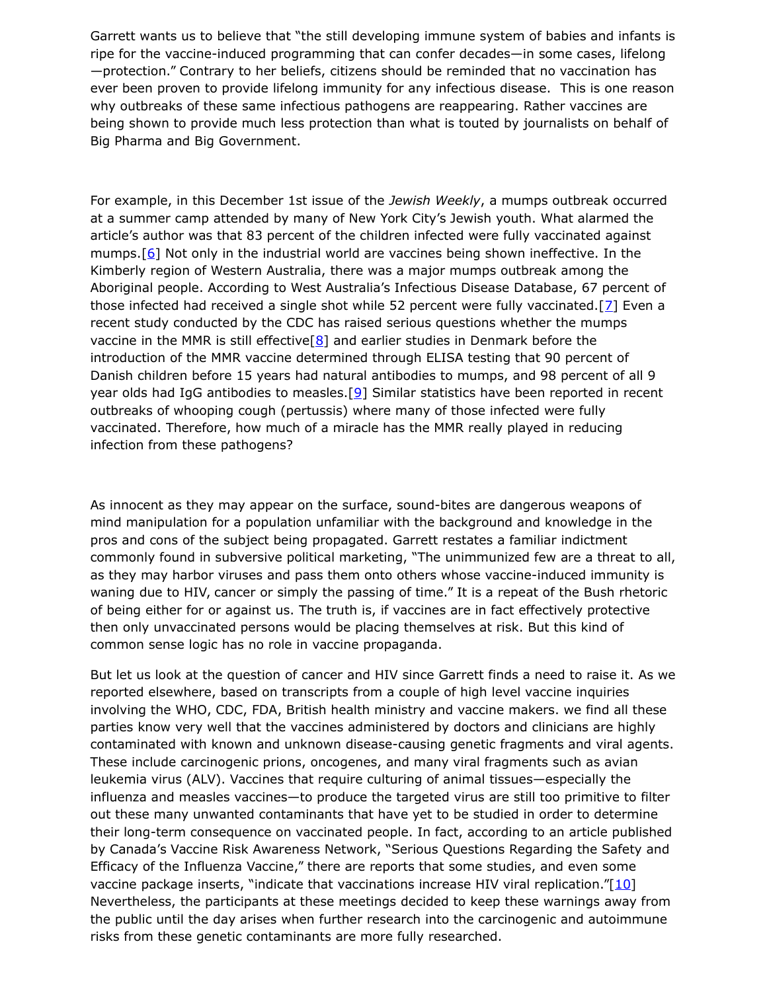Garrett wants us to believe that "the still developing immune system of babies and infants is ripe for the vaccine-induced programming that can confer decades—in some cases, lifelong —protection." Contrary to her beliefs, citizens should be reminded that no vaccination has ever been proven to provide lifelong immunity for any infectious disease. This is one reason why outbreaks of these same infectious pathogens are reappearing. Rather vaccines are being shown to provide much less protection than what is touted by journalists on behalf of Big Pharma and Big Government.

For example, in this December 1st issue of the *Jewish Weekly*, a mumps outbreak occurred at a summer camp attended by many of New York City's Jewish youth. What alarmed the article's author was that 83 percent of the children infected were fully vaccinated against mumps.  $[6]$  Not only in the industrial world are vaccines being shown ineffective. In the Kimberly region of Western Australia, there was a major mumps outbreak among the Aboriginal people. According to West Australia's Infectious Disease Database, 67 percent of those infected had received a single shot while 52 percent were fully vaccinated. [ $\overline{Z}$ ] Even a recent study conducted by the CDC has raised serious questions whether the mumps vaccine in the MMR is still effective  $[8]$  and earlier studies in Denmark before the introduction of the MMR vaccine determined through ELISA testing that 90 percent of Danish children before 15 years had natural antibodies to mumps, and 98 percent of all 9 year olds had IgG antibodies to measles. [\[9\]](http://www.whale.to/vaccine/null19.html#[9]_Gikmann_G,_Petersen_I,_Mordhorst_C._Prevalence_of_IgG_antibodies_to_mumps_and_measles_virus_in_non_vaccinated_children._Dan_Med._Bulletin_1988_April._35(2):_185-7___) Similar statistics have been reported in recent outbreaks of whooping cough (pertussis) where many of those infected were fully vaccinated. Therefore, how much of a miracle has the MMR really played in reducing infection from these pathogens?

As innocent as they may appear on the surface, sound-bites are dangerous weapons of mind manipulation for a population unfamiliar with the background and knowledge in the pros and cons of the subject being propagated. Garrett restates a familiar indictment commonly found in subversive political marketing, "The unimmunized few are a threat to all, as they may harbor viruses and pass them onto others whose vaccine-induced immunity is waning due to HIV, cancer or simply the passing of time." It is a repeat of the Bush rhetoric of being either for or against us. The truth is, if vaccines are in fact effectively protective then only unvaccinated persons would be placing themselves at risk. But this kind of common sense logic has no role in vaccine propaganda.

But let us look at the question of cancer and HIV since Garrett finds a need to raise it. As we reported elsewhere, based on transcripts from a couple of high level vaccine inquiries involving the WHO, CDC, FDA, British health ministry and vaccine makers. we find all these parties know very well that the vaccines administered by doctors and clinicians are highly contaminated with known and unknown disease-causing genetic fragments and viral agents. These include carcinogenic prions, oncogenes, and many viral fragments such as avian leukemia virus (ALV). Vaccines that require culturing of animal tissues—especially the influenza and measles vaccines—to produce the targeted virus are still too primitive to filter out these many unwanted contaminants that have yet to be studied in order to determine their long-term consequence on vaccinated people. In fact, according to an article published by Canada's Vaccine Risk Awareness Network, "Serious Questions Regarding the Safety and Efficacy of the Influenza Vaccine," there are reports that some studies, and even some vaccine package inserts, "indicate that vaccinations increase HIV viral replication." $[10]$ Nevertheless, the participants at these meetings decided to keep these warnings away from the public until the day arises when further research into the carcinogenic and autoimmune risks from these genetic contaminants are more fully researched.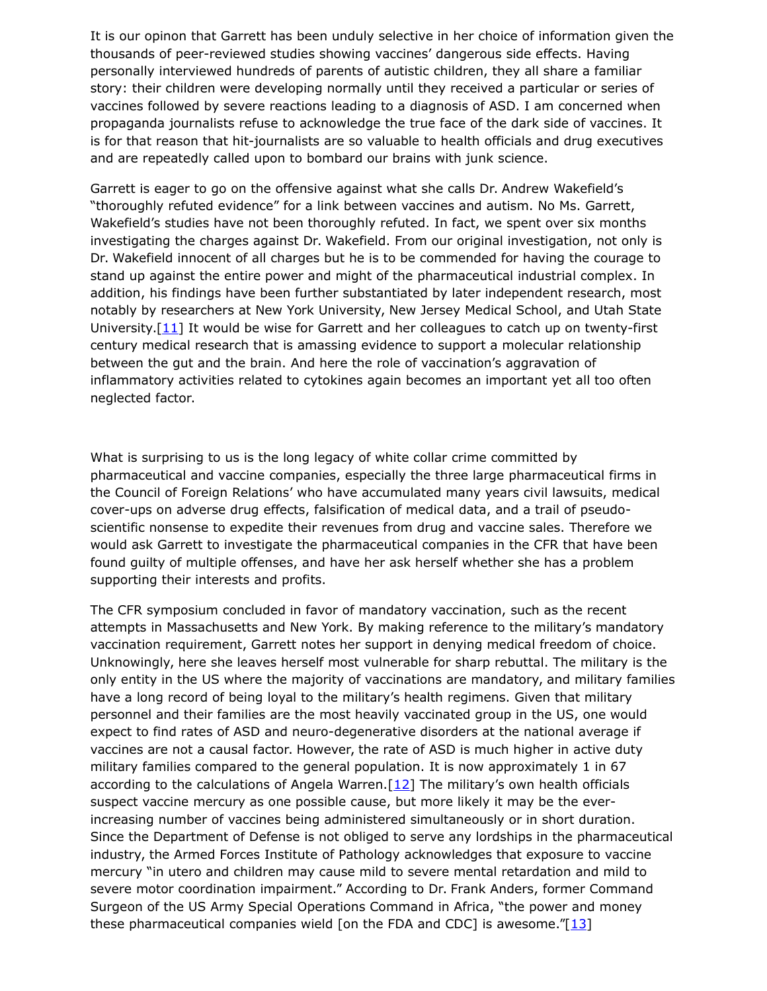It is our opinon that Garrett has been unduly selective in her choice of information given the thousands of peer-reviewed studies showing vaccines' dangerous side effects. Having personally interviewed hundreds of parents of autistic children, they all share a familiar story: their children were developing normally until they received a particular or series of vaccines followed by severe reactions leading to a diagnosis of ASD. I am concerned when propaganda journalists refuse to acknowledge the true face of the dark side of vaccines. It is for that reason that hit-journalists are so valuable to health officials and drug executives and are repeatedly called upon to bombard our brains with junk science.

Garrett is eager to go on the offensive against what she calls Dr. Andrew Wakefield's "thoroughly refuted evidence" for a link between vaccines and autism. No Ms. Garrett, Wakefield's studies have not been thoroughly refuted. In fact, we spent over six months investigating the charges against Dr. Wakefield. From our original investigation, not only is Dr. Wakefield innocent of all charges but he is to be commended for having the courage to stand up against the entire power and might of the pharmaceutical industrial complex. In addition, his findings have been further substantiated by later independent research, most notably by researchers at New York University, New Jersey Medical School, and Utah State University. $[11]$  It would be wise for Garrett and her colleagues to catch up on twenty-first century medical research that is amassing evidence to support a molecular relationship between the gut and the brain. And here the role of vaccination's aggravation of inflammatory activities related to cytokines again becomes an important yet all too often neglected factor.

What is surprising to us is the long legacy of white collar crime committed by pharmaceutical and vaccine companies, especially the three large pharmaceutical firms in the Council of Foreign Relations' who have accumulated many years civil lawsuits, medical cover-ups on adverse drug effects, falsification of medical data, and a trail of pseudoscientific nonsense to expedite their revenues from drug and vaccine sales. Therefore we would ask Garrett to investigate the pharmaceutical companies in the CFR that have been found guilty of multiple offenses, and have her ask herself whether she has a problem supporting their interests and profits.

The CFR symposium concluded in favor of mandatory vaccination, such as the recent attempts in Massachusetts and New York. By making reference to the military's mandatory vaccination requirement, Garrett notes her support in denying medical freedom of choice. Unknowingly, here she leaves herself most vulnerable for sharp rebuttal. The military is the only entity in the US where the majority of vaccinations are mandatory, and military families have a long record of being loyal to the military's health regimens. Given that military personnel and their families are the most heavily vaccinated group in the US, one would expect to find rates of ASD and neuro-degenerative disorders at the national average if vaccines are not a causal factor. However, the rate of ASD is much higher in active duty military families compared to the general population. It is now approximately 1 in 67 according to the calculations of Angela Warren. $[12]$  The military's own health officials suspect vaccine mercury as one possible cause, but more likely it may be the everincreasing number of vaccines being administered simultaneously or in short duration. Since the Department of Defense is not obliged to serve any lordships in the pharmaceutical industry, the Armed Forces Institute of Pathology acknowledges that exposure to vaccine mercury "in utero and children may cause mild to severe mental retardation and mild to severe motor coordination impairment." According to Dr. Frank Anders, former Command Surgeon of the US Army Special Operations Command in Africa, "the power and money these pharmaceutical companies wield [on the FDA and CDC] is awesome. $T_{13}$ ]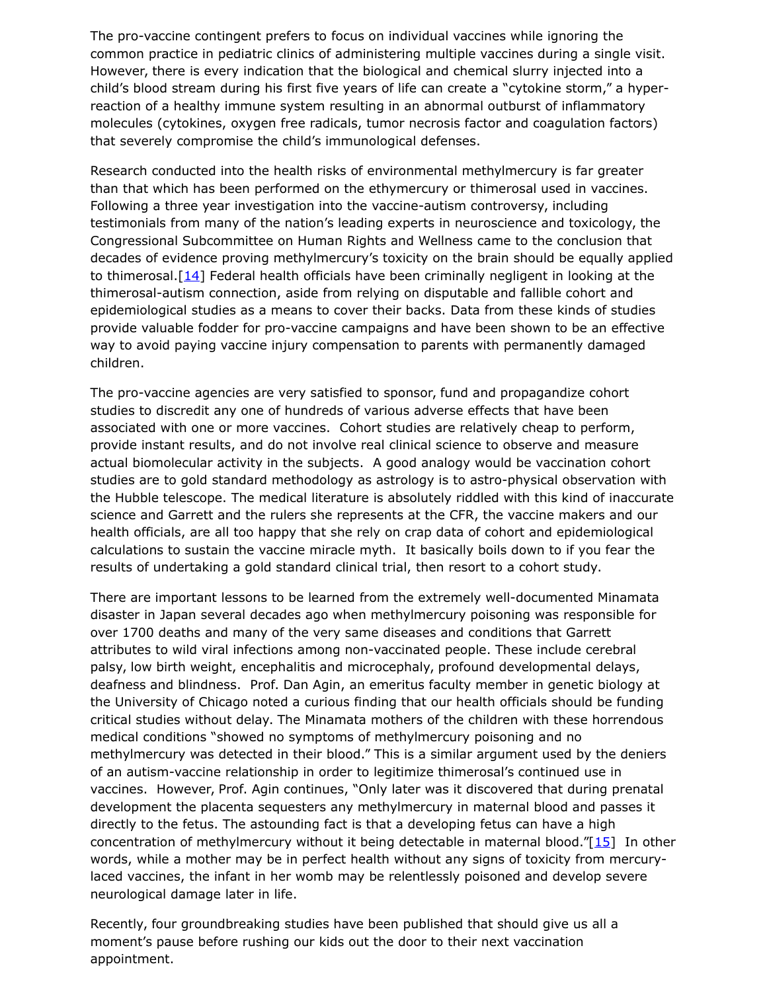The pro-vaccine contingent prefers to focus on individual vaccines while ignoring the common practice in pediatric clinics of administering multiple vaccines during a single visit. However, there is every indication that the biological and chemical slurry injected into a child's blood stream during his first five years of life can create a "cytokine storm," a hyperreaction of a healthy immune system resulting in an abnormal outburst of inflammatory molecules (cytokines, oxygen free radicals, tumor necrosis factor and coagulation factors) that severely compromise the child's immunological defenses.

Research conducted into the health risks of environmental methylmercury is far greater than that which has been performed on the ethymercury or thimerosal used in vaccines. Following a three year investigation into the vaccine-autism controversy, including testimonials from many of the nation's leading experts in neuroscience and toxicology, the Congressional Subcommittee on Human Rights and Wellness came to the conclusion that decades of evidence proving methylmercury's toxicity on the brain should be equally applied to thimerosal.  $[14]$  Federal health officials have been criminally negligent in looking at the thimerosal-autism connection, aside from relying on disputable and fallible cohort and epidemiological studies as a means to cover their backs. Data from these kinds of studies provide valuable fodder for pro-vaccine campaigns and have been shown to be an effective way to avoid paying vaccine injury compensation to parents with permanently damaged children.

The pro-vaccine agencies are very satisfied to sponsor, fund and propagandize cohort studies to discredit any one of hundreds of various adverse effects that have been associated with one or more vaccines. Cohort studies are relatively cheap to perform, provide instant results, and do not involve real clinical science to observe and measure actual biomolecular activity in the subjects. A good analogy would be vaccination cohort studies are to gold standard methodology as astrology is to astro-physical observation with the Hubble telescope. The medical literature is absolutely riddled with this kind of inaccurate science and Garrett and the rulers she represents at the CFR, the vaccine makers and our health officials, are all too happy that she rely on crap data of cohort and epidemiological calculations to sustain the vaccine miracle myth. It basically boils down to if you fear the results of undertaking a gold standard clinical trial, then resort to a cohort study.

There are important lessons to be learned from the extremely well-documented Minamata disaster in Japan several decades ago when methylmercury poisoning was responsible for over 1700 deaths and many of the very same diseases and conditions that Garrett attributes to wild viral infections among non-vaccinated people. These include cerebral palsy, low birth weight, encephalitis and microcephaly, profound developmental delays, deafness and blindness. Prof. Dan Agin, an emeritus faculty member in genetic biology at the University of Chicago noted a curious finding that our health officials should be funding critical studies without delay. The Minamata mothers of the children with these horrendous medical conditions "showed no symptoms of methylmercury poisoning and no methylmercury was detected in their blood." This is a similar argument used by the deniers of an autism-vaccine relationship in order to legitimize thimerosal's continued use in vaccines. However, Prof. Agin continues, "Only later was it discovered that during prenatal development the placenta sequesters any methylmercury in maternal blood and passes it directly to the fetus. The astounding fact is that a developing fetus can have a high concentration of methylmercury without it being detectable in maternal blood."[\[15\]](http://www.whale.to/vaccine/null19.html#[15]_Agin) In other words, while a mother may be in perfect health without any signs of toxicity from mercurylaced vaccines, the infant in her womb may be relentlessly poisoned and develop severe neurological damage later in life.

Recently, four groundbreaking studies have been published that should give us all a moment's pause before rushing our kids out the door to their next vaccination appointment.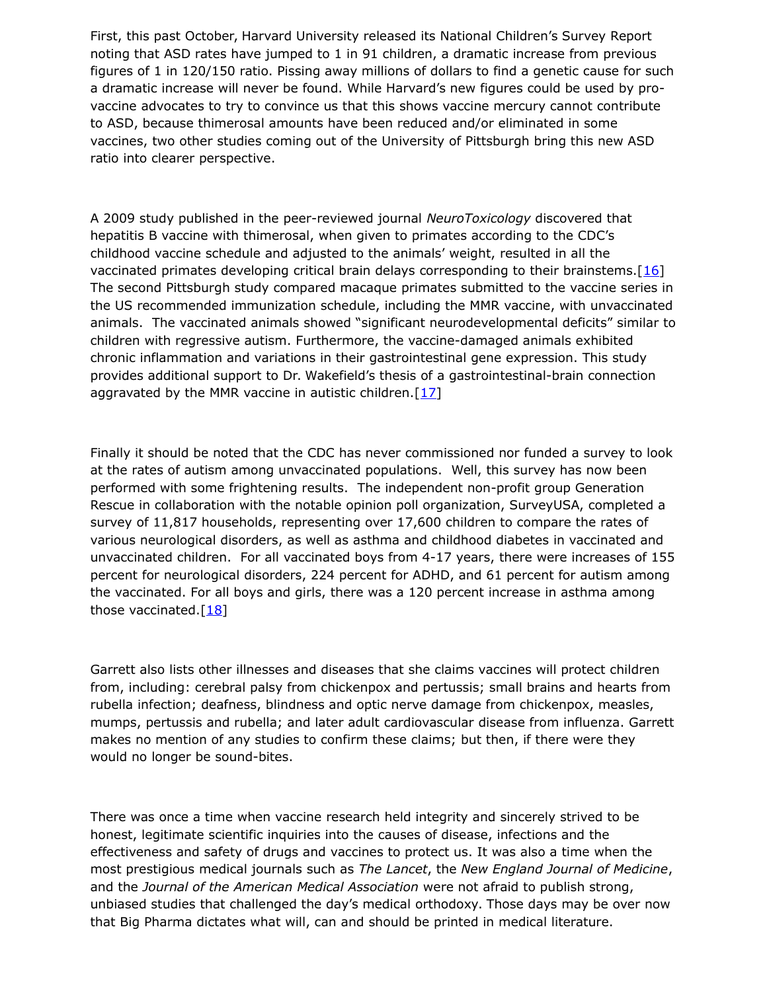First, this past October, Harvard University released its National Children's Survey Report noting that ASD rates have jumped to 1 in 91 children, a dramatic increase from previous figures of 1 in 120/150 ratio. Pissing away millions of dollars to find a genetic cause for such a dramatic increase will never be found. While Harvard's new figures could be used by provaccine advocates to try to convince us that this shows vaccine mercury cannot contribute to ASD, because thimerosal amounts have been reduced and/or eliminated in some vaccines, two other studies coming out of the University of Pittsburgh bring this new ASD ratio into clearer perspective.

A 2009 study published in the peer-reviewed journal *NeuroToxicology* discovered that hepatitis B vaccine with thimerosal, when given to primates according to the CDC's childhood vaccine schedule and adjusted to the animals' weight, resulted in all the vaccinated primates developing critical brain delays corresponding to their brainstems. $[16]$ The second Pittsburgh study compared macaque primates submitted to the vaccine series in the US recommended immunization schedule, including the MMR vaccine, with unvaccinated animals. The vaccinated animals showed "significant neurodevelopmental deficits" similar to children with regressive autism. Furthermore, the vaccine-damaged animals exhibited chronic inflammation and variations in their gastrointestinal gene expression. This study provides additional support to Dr. Wakefield's thesis of a gastrointestinal-brain connection aggravated by the MMR vaccine in autistic children.  $[17]$ 

Finally it should be noted that the CDC has never commissioned nor funded a survey to look at the rates of autism among unvaccinated populations. Well, this survey has now been performed with some frightening results. The independent non-profit group Generation Rescue in collaboration with the notable opinion poll organization, SurveyUSA, completed a survey of 11,817 households, representing over 17,600 children to compare the rates of various neurological disorders, as well as asthma and childhood diabetes in vaccinated and unvaccinated children. For all vaccinated boys from 4-17 years, there were increases of 155 percent for neurological disorders, 224 percent for ADHD, and 61 percent for autism among the vaccinated. For all boys and girls, there was a 120 percent increase in asthma among those vaccinated. $[18]$ 

Garrett also lists other illnesses and diseases that she claims vaccines will protect children from, including: cerebral palsy from chickenpox and pertussis; small brains and hearts from rubella infection; deafness, blindness and optic nerve damage from chickenpox, measles, mumps, pertussis and rubella; and later adult cardiovascular disease from influenza. Garrett makes no mention of any studies to confirm these claims; but then, if there were they would no longer be sound-bites.

There was once a time when vaccine research held integrity and sincerely strived to be honest, legitimate scientific inquiries into the causes of disease, infections and the effectiveness and safety of drugs and vaccines to protect us. It was also a time when the most prestigious medical journals such as *The Lancet*, the *New England Journal of Medicine*, and the *Journal of the American Medical Association* were not afraid to publish strong, unbiased studies that challenged the day's medical orthodoxy. Those days may be over now that Big Pharma dictates what will, can and should be printed in medical literature.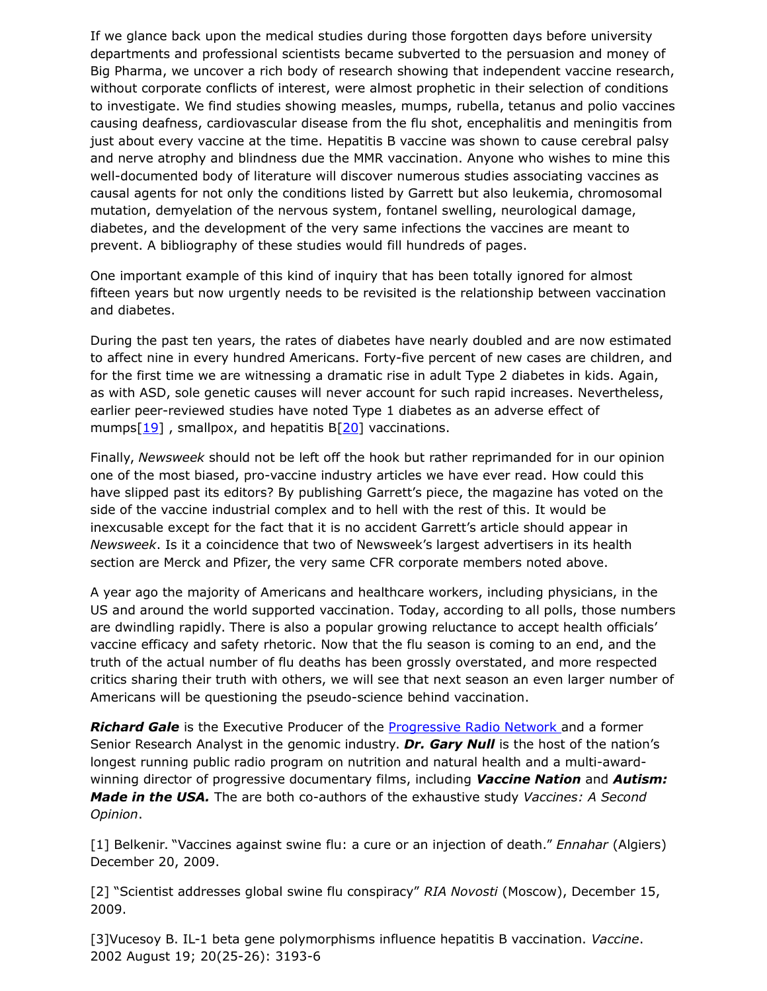If we glance back upon the medical studies during those forgotten days before university departments and professional scientists became subverted to the persuasion and money of Big Pharma, we uncover a rich body of research showing that independent vaccine research, without corporate conflicts of interest, were almost prophetic in their selection of conditions to investigate. We find studies showing measles, mumps, rubella, tetanus and polio vaccines causing deafness, cardiovascular disease from the flu shot, encephalitis and meningitis from just about every vaccine at the time. Hepatitis B vaccine was shown to cause cerebral palsy and nerve atrophy and blindness due the MMR vaccination. Anyone who wishes to mine this well-documented body of literature will discover numerous studies associating vaccines as causal agents for not only the conditions listed by Garrett but also leukemia, chromosomal mutation, demyelation of the nervous system, fontanel swelling, neurological damage, diabetes, and the development of the very same infections the vaccines are meant to prevent. A bibliography of these studies would fill hundreds of pages.

One important example of this kind of inquiry that has been totally ignored for almost fifteen years but now urgently needs to be revisited is the relationship between vaccination and diabetes.

During the past ten years, the rates of diabetes have nearly doubled and are now estimated to affect nine in every hundred Americans. Forty-five percent of new cases are children, and for the first time we are witnessing a dramatic rise in adult Type 2 diabetes in kids. Again, as with ASD, sole genetic causes will never account for such rapid increases. Nevertheless, earlier peer-reviewed studies have noted Type 1 diabetes as an adverse effect of mumps $[19]$ , smallpox, and hepatitis B $[20]$  vaccinations.

Finally, *Newsweek* should not be left off the hook but rather reprimanded for in our opinion one of the most biased, pro-vaccine industry articles we have ever read. How could this have slipped past its editors? By publishing Garrett's piece, the magazine has voted on the side of the vaccine industrial complex and to hell with the rest of this. It would be inexcusable except for the fact that it is no accident Garrett's article should appear in *Newsweek*. Is it a coincidence that two of Newsweek's largest advertisers in its health section are Merck and Pfizer, the very same CFR corporate members noted above.

A year ago the majority of Americans and healthcare workers, including physicians, in the US and around the world supported vaccination. Today, according to all polls, those numbers are dwindling rapidly. There is also a popular growing reluctance to accept health officials' vaccine efficacy and safety rhetoric. Now that the flu season is coming to an end, and the truth of the actual number of flu deaths has been grossly overstated, and more respected critics sharing their truth with others, we will see that next season an even larger number of Americans will be questioning the pseudo-science behind vaccination.

*Richard Gale* is the Executive Producer of the [Progressive Radio Network](http://www.progressiveradionetwork.com/) and a former Senior Research Analyst in the genomic industry. *Dr. Gary Null* is the host of the nation's longest running public radio program on nutrition and natural health and a multi-awardwinning director of progressive documentary films, including *Vaccine Nation* and *Autism: Made in the USA.* The are both co-authors of the exhaustive study *Vaccines: A Second Opinion*.

[1] Belkenir. "Vaccines against swine flu: a cure or an injection of death." *Ennahar* (Algiers) December 20, 2009.

[2] "Scientist addresses global swine flu conspiracy" *RIA Novosti* (Moscow), December 15, 2009.

[3]Vucesoy B. IL-1 beta gene polymorphisms influence hepatitis B vaccination. *Vaccine*. 2002 August 19; 20(25-26): 3193-6